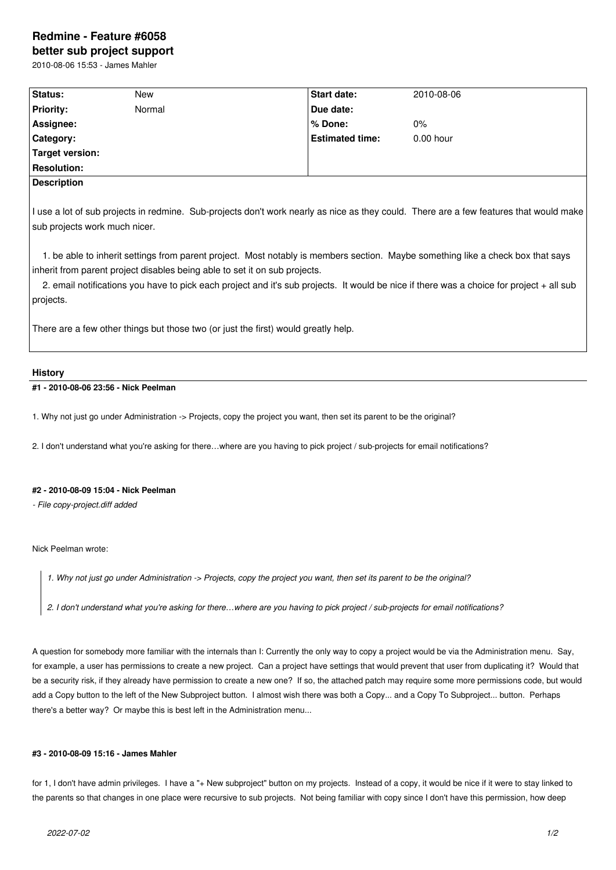# **Redmine - Feature #6058**

**better sub project support** 2010-08-06 15:53 - James Mahler

| Status:                       | New                                                                        | Start date:                                                                        | 2010-08-06                                                                                                                                                                                                                                                                  |
|-------------------------------|----------------------------------------------------------------------------|------------------------------------------------------------------------------------|-----------------------------------------------------------------------------------------------------------------------------------------------------------------------------------------------------------------------------------------------------------------------------|
| <b>Priority:</b>              | Normal                                                                     | Due date:                                                                          |                                                                                                                                                                                                                                                                             |
| Assignee:                     |                                                                            | % Done:                                                                            | $0\%$                                                                                                                                                                                                                                                                       |
| Category:                     |                                                                            | <b>Estimated time:</b>                                                             | $0.00$ hour                                                                                                                                                                                                                                                                 |
| Target version:               |                                                                            |                                                                                    |                                                                                                                                                                                                                                                                             |
| <b>Resolution:</b>            |                                                                            |                                                                                    |                                                                                                                                                                                                                                                                             |
| <b>Description</b>            |                                                                            |                                                                                    |                                                                                                                                                                                                                                                                             |
| sub projects work much nicer. |                                                                            |                                                                                    | I use a lot of sub projects in redmine. Sub-projects don't work nearly as nice as they could. There are a few features that would make                                                                                                                                      |
| projects.                     | inherit from parent project disables being able to set it on sub projects. |                                                                                    | 1. be able to inherit settings from parent project. Most notably is members section. Maybe something like a check box that says<br>2. email notifications you have to pick each project and it's sub projects. It would be nice if there was a choice for project + all sub |
|                               |                                                                            | There are a few other things but those two (or just the first) would greatly help. |                                                                                                                                                                                                                                                                             |

# **History**

# **#1 - 2010-08-06 23:56 - Nick Peelman**

1. Why not just go under Administration -> Projects, copy the project you want, then set its parent to be the original?

2. I don't understand what you're asking for there…where are you having to pick project / sub-projects for email notifications?

# **#2 - 2010-08-09 15:04 - Nick Peelman**

*- File copy-project.diff added*

Nick Peelman wrote:

*1. Why not just go under Administration -> Projects, copy the project you want, then set its parent to be the original?*

*2. I don't understand what you're asking for there…where are you having to pick project / sub-projects for email notifications?*

A question for somebody more familiar with the internals than I: Currently the only way to copy a project would be via the Administration menu. Say, for example, a user has permissions to create a new project. Can a project have settings that would prevent that user from duplicating it? Would that be a security risk, if they already have permission to create a new one? If so, the attached patch may require some more permissions code, but would add a Copy button to the left of the New Subproject button. I almost wish there was both a Copy... and a Copy To Subproject... button. Perhaps there's a better way? Or maybe this is best left in the Administration menu...

### **#3 - 2010-08-09 15:16 - James Mahler**

for 1, I don't have admin privileges. I have a "+ New subproject" button on my projects. Instead of a copy, it would be nice if it were to stay linked to the parents so that changes in one place were recursive to sub projects. Not being familiar with copy since I don't have this permission, how deep